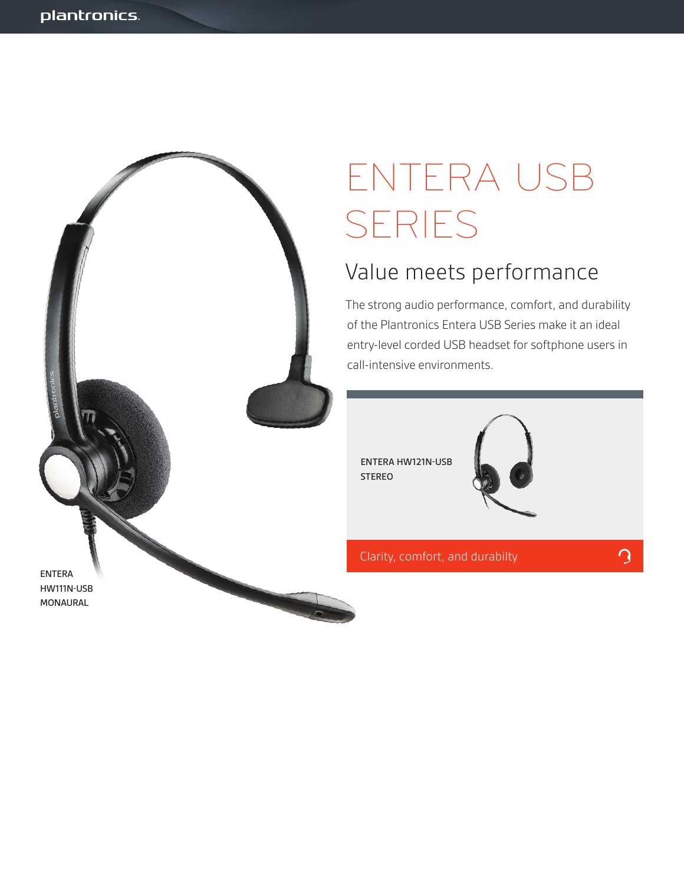

# ENTERA USB SERIES

### Value meets performance

The strong audio performance, comfort, and durability of the Plantronics Entera USB Series make it an ideal entry-level corded USB headset for softphone users in call-intensive environments.

ENTERA HW121N-USB STEREO



Clarity, comfort, and durabilty

 $\Omega$